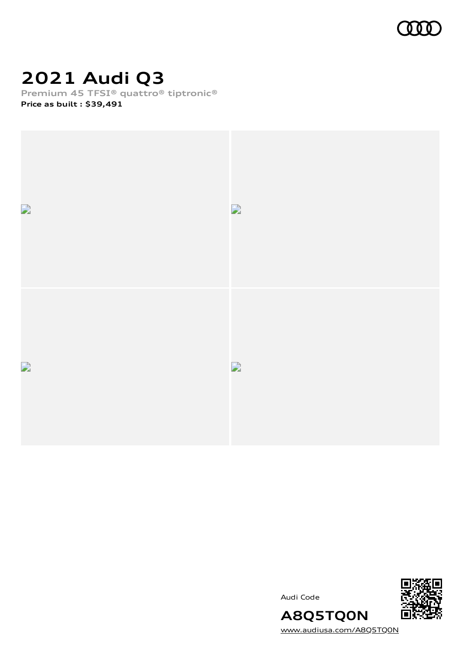

### **2021 Audi Q3**

**Premium 45 TFSI® quattro® tiptronic®**

**Price as built [:](#page-10-0) \$39,491**



Audi Code



**A8Q5TQ0N** [www.audiusa.com/A8Q5TQ0N](https://www.audiusa.com/A8Q5TQ0N)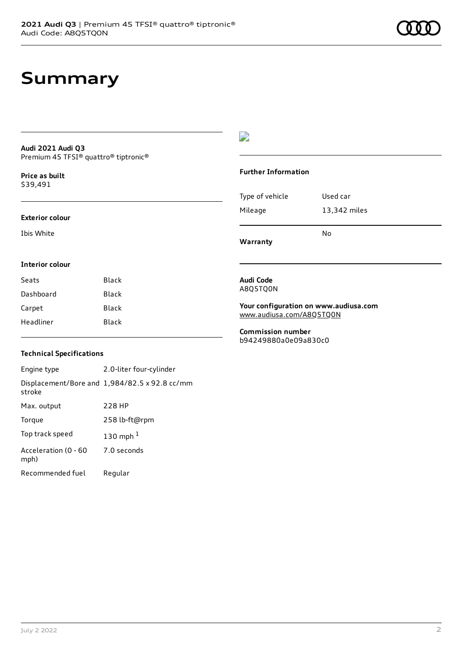### **Summary**

#### **Audi 2021 Audi Q3** Premium 45 TFSI® quattro® tiptronic®

**Price as buil[t](#page-10-0)** \$39,491

#### **Exterior colour**

Ibis White

### D

#### **Further Information**

|                 | No           |
|-----------------|--------------|
| Mileage         | 13,342 miles |
| Type of vehicle | Used car     |

**Warranty**

#### **Interior colour**

| Black |
|-------|
| Black |
| Black |
| Black |
|       |

#### **Audi Code** A8Q5TQ0N

**Your configuration on www.audiusa.com** [www.audiusa.com/A8Q5TQ0N](https://www.audiusa.com/A8Q5TQ0N)

**Commission number** b94249880a0e09a830c0

### **Technical Specifications**

Engine type 2.0-liter four-cylinder Displacement/Bore and 1,984/82.5 x 92.8 cc/mm stroke Max. output 228 HP Torque 258 lb-ft@rpm Top track speed [1](#page-10-0)30 mph $<sup>1</sup>$ </sup> Acceleration (0 - 60 mph) 7.0 seconds Recommended fuel Regular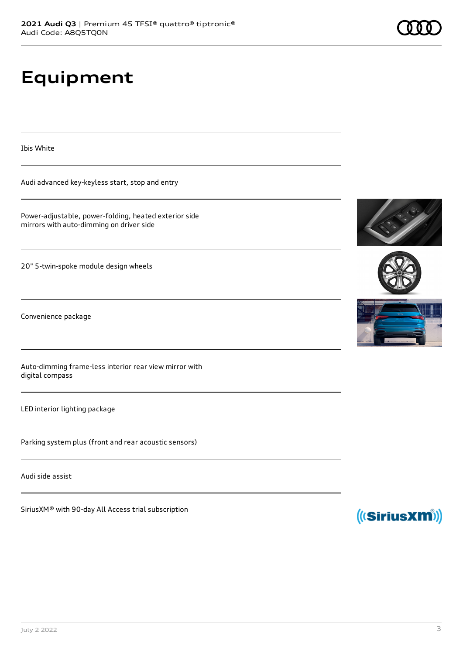# **Equipment**

Ibis White

Audi advanced key-keyless start, stop and entry

Power-adjustable, power-folding, heated exterior side mirrors with auto-dimming on driver side

20" 5-twin-spoke module design wheels

Convenience package

Auto-dimming frame-less interior rear view mirror with digital compass

LED interior lighting package

Parking system plus (front and rear acoustic sensors)

Audi side assist

SiriusXM® with 90-day All Access trial subscription









![](_page_2_Picture_17.jpeg)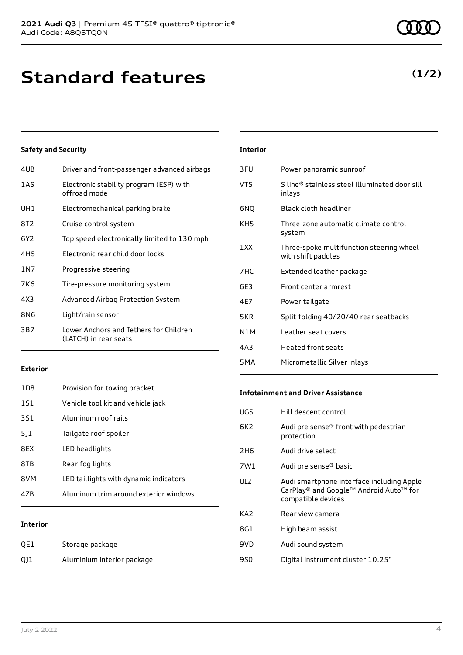### **Standard features**

### **Safety and Security**

| 4UB   | Driver and front-passenger advanced airbags                     |
|-------|-----------------------------------------------------------------|
| 1AS   | Electronic stability program (ESP) with<br>offroad mode         |
| UH1   | Electromechanical parking brake                                 |
| 8T2   | Cruise control system                                           |
| 6Y2   | Top speed electronically limited to 130 mph                     |
| 4H5   | Electronic rear child door locks                                |
| 1 N 7 | Progressive steering                                            |
| 7K6   | Tire-pressure monitoring system                                 |
| 4X3   | Advanced Airbag Protection System                               |
| 8N6   | Light/rain sensor                                               |
| 3B7   | Lower Anchors and Tethers for Children<br>(LATCH) in rear seats |
|       |                                                                 |

| <b>Interior</b> |                                                                |
|-----------------|----------------------------------------------------------------|
| 3FU             | Power panoramic sunroof                                        |
| VT5             | S line® stainless steel illuminated door sill<br>inlays        |
| 6NQ             | Black cloth headliner                                          |
| KH5             | Three-zone automatic climate control<br>system                 |
| 1 XX            | Three-spoke multifunction steering wheel<br>with shift paddles |
| 7HC             | Extended leather package                                       |
| 6F3             | Front center armrest                                           |
| 4F7             | Power tailgate                                                 |
| 5KR             | Split-folding 40/20/40 rear seatbacks                          |
| N1M             | Leather seat covers                                            |
| 4A3             | Heated front seats                                             |
| 5MA             | Micrometallic Silver inlays                                    |

#### **Exterior**

| 47B             | Aluminum trim around exterior windows  |
|-----------------|----------------------------------------|
| 8VM             | LED taillights with dynamic indicators |
| 8TB             | Rear fog lights                        |
| 8FX             | LED headlights                         |
| 511             | Tailgate roof spoiler                  |
| 3S1             | Aluminum roof rails                    |
| 1S1             | Vehicle tool kit and vehicle jack      |
| 1D <sub>8</sub> | Provision for towing bracket           |

### **Interior**

| QE1 | Storage package            |
|-----|----------------------------|
| Q11 | Aluminium interior package |

### **Infotainment and Driver Assistance**

| UG5             | Hill descent control                                                                                      |
|-----------------|-----------------------------------------------------------------------------------------------------------|
| 6K <sub>2</sub> | Audi pre sense® front with pedestrian<br>protection                                                       |
| 2H <sub>6</sub> | Audi drive select                                                                                         |
| 7W1             | Audi pre sense® basic                                                                                     |
| UI <sub>2</sub> | Audi smartphone interface including Apple<br>CarPlay® and Google™ Android Auto™ for<br>compatible devices |
| KA <sub>2</sub> | Rear view camera                                                                                          |
| 8G1             | High beam assist                                                                                          |
| 9VD             | Audi sound system                                                                                         |
| 9S0             | Digital instrument cluster 10.25"                                                                         |

### **(1/2)**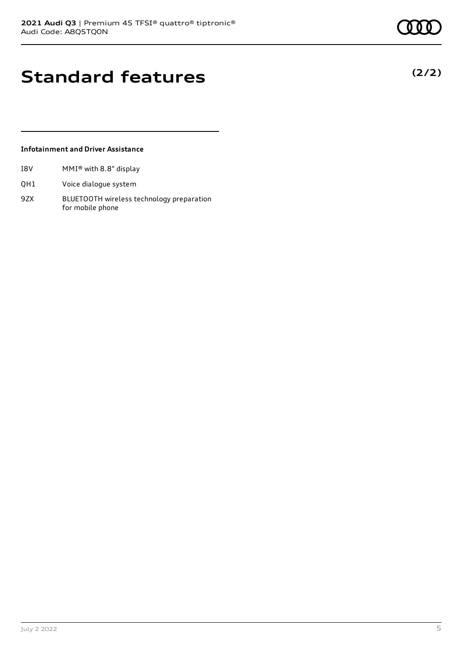**(2/2)**

### **Standard features**

### **Infotainment and Driver Assistance**

- I8V MMI® with 8.8" display
- QH1 Voice dialogue system
- 9ZX BLUETOOTH wireless technology preparation for mobile phone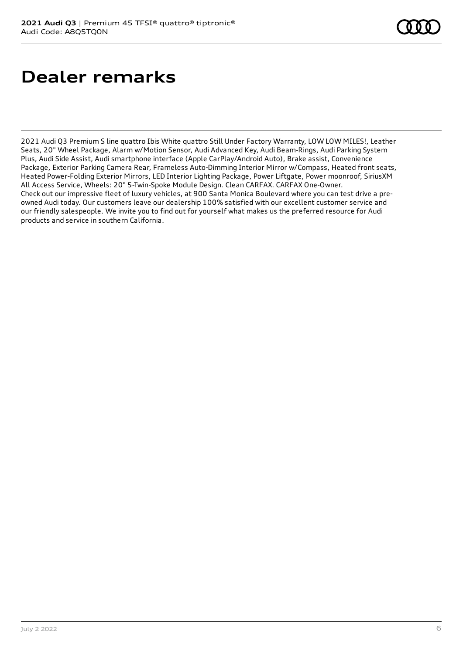### **Dealer remarks**

2021 Audi Q3 Premium S line quattro Ibis White quattro Still Under Factory Warranty, LOW LOW MILES!, Leather Seats, 20" Wheel Package, Alarm w/Motion Sensor, Audi Advanced Key, Audi Beam-Rings, Audi Parking System Plus, Audi Side Assist, Audi smartphone interface (Apple CarPlay/Android Auto), Brake assist, Convenience Package, Exterior Parking Camera Rear, Frameless Auto-Dimming Interior Mirror w/Compass, Heated front seats, Heated Power-Folding Exterior Mirrors, LED Interior Lighting Package, Power Liftgate, Power moonroof, SiriusXM All Access Service, Wheels: 20" 5-Twin-Spoke Module Design. Clean CARFAX. CARFAX One-Owner. Check out our impressive fleet of luxury vehicles, at 900 Santa Monica Boulevard where you can test drive a preowned Audi today. Our customers leave our dealership 100% satisfied with our excellent customer service and our friendly salespeople. We invite you to find out for yourself what makes us the preferred resource for Audi products and service in southern California.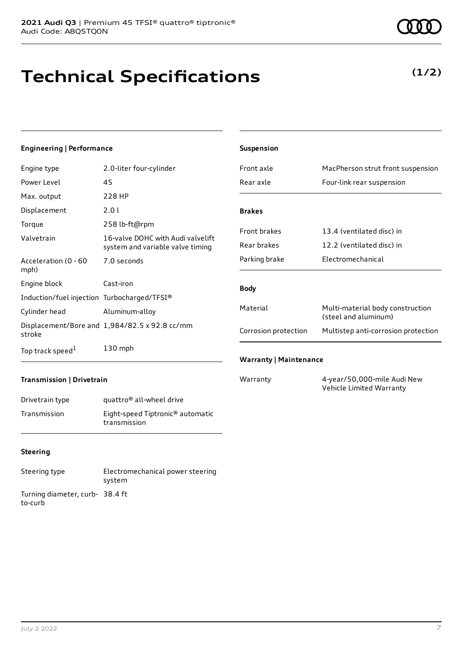## **Technical Specifications**

### **Engineering | Performance**

| Engine type                                 | 2.0-liter four-cylinder                                               |
|---------------------------------------------|-----------------------------------------------------------------------|
| Power Level                                 | 45                                                                    |
| Max. output                                 | 228 HP                                                                |
| Displacement                                | 2.0 L                                                                 |
| Torque                                      | 258 lb-ft@rpm                                                         |
| Valvetrain                                  | 16-valve DOHC with Audi valvelift<br>system and variable valve timing |
| Acceleration (0 - 60<br>mph)                | 7.0 seconds                                                           |
| Engine block                                | Cast-iron                                                             |
| Induction/fuel injection Turbocharged/TFSI® |                                                                       |
| Cylinder head                               | Aluminum-alloy                                                        |
| stroke                                      | Displacement/Bore and 1,984/82.5 x 92.8 cc/mm                         |
| Top track speed <sup>1</sup>                | 130 mph                                                               |

| Suspension                    |                                                          |
|-------------------------------|----------------------------------------------------------|
| Front axle                    | MacPherson strut front suspension                        |
| Rear axle                     | Four-link rear suspension                                |
|                               |                                                          |
| <b>Brakes</b>                 |                                                          |
| <b>Front brakes</b>           | 13.4 (ventilated disc) in                                |
| Rear brakes                   | 12.2 (ventilated disc) in                                |
| Parking brake                 | Electromechanical                                        |
|                               |                                                          |
| <b>Body</b>                   |                                                          |
| Material                      | Multi-material body construction<br>(steel and aluminum) |
| Corrosion protection          | Multistep anti-corrosion protection                      |
| <b>Warranty   Maintenance</b> |                                                          |

#### **Transmission | Drivetrain**

| Drivetrain type | quattro <sup>®</sup> all-wheel drive                         |
|-----------------|--------------------------------------------------------------|
| Transmission    | Eight-speed Tiptronic <sup>®</sup> automatic<br>transmission |

### **Steering**

| Steering type                             | Electromechanical power steering<br>system |
|-------------------------------------------|--------------------------------------------|
| Turning diameter, curb-38.4 ft<br>to-curb |                                            |

Warranty 4-year/50,000-mile Audi New Vehicle Limited Warranty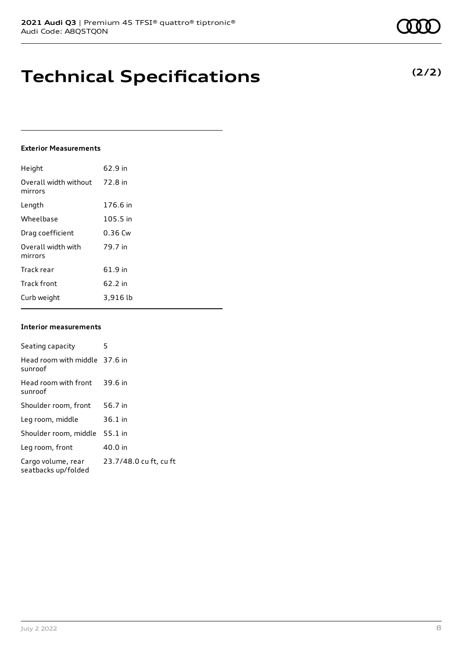### **Technical Specifications**

#### **Exterior Measurements**

| Height                           | 62.9 in   |
|----------------------------------|-----------|
| Overall width without<br>mirrors | 72.8 in   |
| Length                           | 176.6 in  |
| Wheelbase                        | 105.5 in  |
| Drag coefficient                 | $0.36$ Cw |
| Overall width with<br>mirrors    | 79.7 in   |
| Track rear                       | 61.9 in   |
| <b>Track front</b>               | 62.2 in   |
| Curb weight                      | 3,916 lb  |

#### **Interior measurements**

| Seating capacity                          | 5                      |
|-------------------------------------------|------------------------|
| Head room with middle 37.6 in<br>sunroof  |                        |
| Head room with front<br>sunroof           | 39.6 in                |
| Shoulder room, front                      | 56.7 in                |
| Leg room, middle                          | $36.1$ in              |
| Shoulder room, middle                     | $55.1$ in              |
| Leg room, front                           | 40.0 in                |
| Cargo volume, rear<br>seatbacks up/folded | 23.7/48.0 cu ft, cu ft |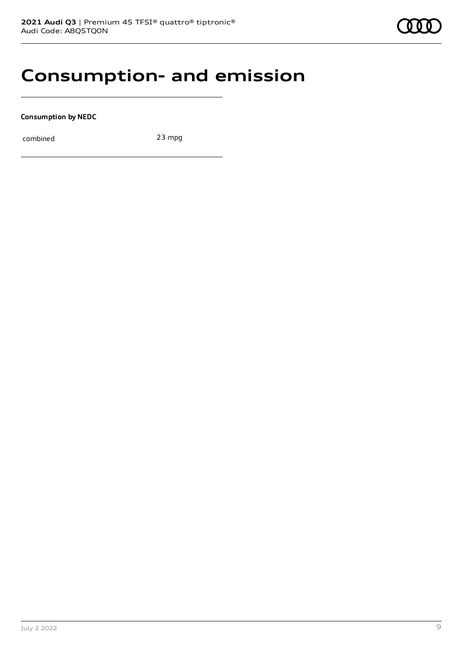### **Consumption- and emission**

**Consumption by NEDC**

combined 23 mpg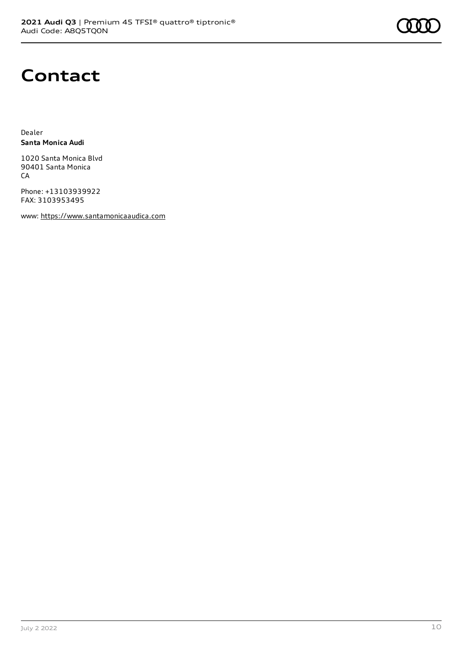![](_page_9_Picture_1.jpeg)

### **Contact**

Dealer **Santa Monica Audi**

1020 Santa Monica Blvd 90401 Santa Monica **CA** 

Phone: +13103939922 FAX: 3103953495

www: [https://www.santamonicaaudica.com](https://www.santamonicaaudica.com/)